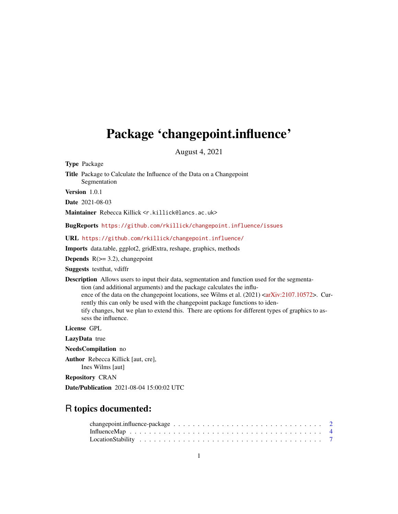## <span id="page-0-0"></span>Package 'changepoint.influence'

August 4, 2021

Type Package

Title Package to Calculate the Influence of the Data on a Changepoint Segmentation

Version 1.0.1

Date 2021-08-03

Maintainer Rebecca Killick <r.killick@lancs.ac.uk>

BugReports <https://github.com/rkillick/changepoint.influence/issues>

URL <https://github.com/rkillick/changepoint.influence/>

Imports data.table, ggplot2, gridExtra, reshape, graphics, methods

**Depends**  $R$ ( $>=$  3.2), changepoint

Suggests testthat, vdiffr

Description Allows users to input their data, segmentation and function used for the segmentation (and additional arguments) and the package calculates the influence of the data on the changepoint locations, see Wilms et al.  $(2021)$  [<arXiv:2107.10572>](https://arxiv.org/abs/2107.10572). Currently this can only be used with the changepoint package functions to identify changes, but we plan to extend this. There are options for different types of graphics to assess the influence.

License GPL

LazyData true

NeedsCompilation no

Author Rebecca Killick [aut, cre], Ines Wilms [aut]

Repository CRAN

Date/Publication 2021-08-04 15:00:02 UTC

### R topics documented: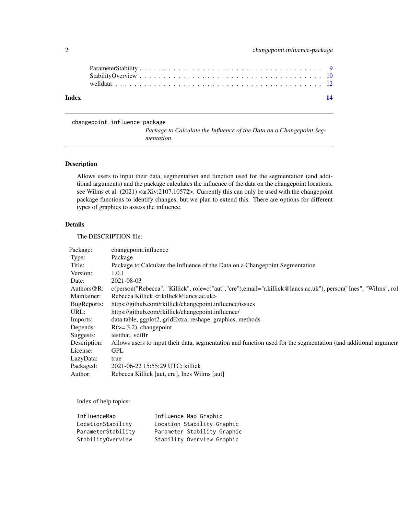<span id="page-1-0"></span>

| Index |  |  |  |  |  |  |  |  |  |  |  |  |  |  |  |  |  | 14 |
|-------|--|--|--|--|--|--|--|--|--|--|--|--|--|--|--|--|--|----|
|       |  |  |  |  |  |  |  |  |  |  |  |  |  |  |  |  |  |    |

#### changepoint.influence-package

*Package to Calculate the Influence of the Data on a Changepoint Segmentation*

#### Description

Allows users to input their data, segmentation and function used for the segmentation (and additional arguments) and the package calculates the influence of the data on the changepoint locations, see Wilms et al. (2021) <arXiv:2107.10572>. Currently this can only be used with the changepoint package functions to identify changes, but we plan to extend this. There are options for different types of graphics to assess the influence.

#### Details

The DESCRIPTION file:

| Package:     | changepoint.influence                                                                                                     |
|--------------|---------------------------------------------------------------------------------------------------------------------------|
| Type:        | Package                                                                                                                   |
| Title:       | Package to Calculate the Influence of the Data on a Changepoint Segmentation                                              |
| Version:     | 1.0.1                                                                                                                     |
| Date:        | 2021-08-03                                                                                                                |
|              | Authors@R: c(person("Rebecca", "Killick", role=c("aut","cre"),email="r.killick@lancs.ac.uk"), person("Ines", "Wilms", rol |
|              | Maintainer: Rebecca Killick <r.killick@lancs.ac.uk></r.killick@lancs.ac.uk>                                               |
|              | BugReports: https://github.com/rkillick/changepoint.influence/issues                                                      |
| URL:         | https://github.com/rkillick/changepoint.influence/                                                                        |
| Imports:     | data.table, ggplot2, gridExtra, reshape, graphics, methods                                                                |
| Depends:     | $R$ ( $>=$ 3.2), changepoint                                                                                              |
| Suggests:    | testthat, vdiffr                                                                                                          |
| Description: | Allows users to input their data, segmentation and function used for the segmentation (and additional argument            |
| License:     | GPL                                                                                                                       |
| LazyData:    | true                                                                                                                      |
| Packaged:    | 2021-06-22 15:55:29 UTC; killick                                                                                          |
| Author:      | Rebecca Killick [aut, cre], Ines Wilms [aut]                                                                              |

Index of help topics:

| InfluenceMap       | Influence Map Graphic       |
|--------------------|-----------------------------|
| LocationStability  | Location Stability Graphic  |
| ParameterStability | Parameter Stability Graphic |
| StabilityOverview  | Stability Overview Graphic  |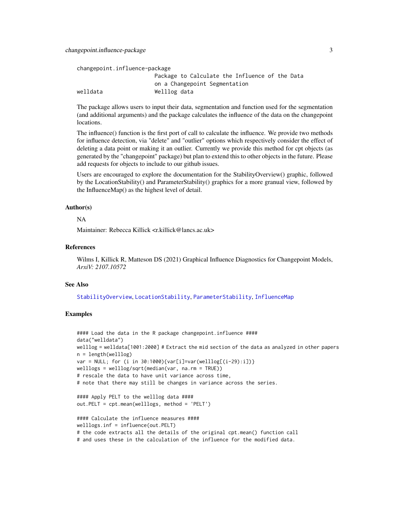<span id="page-2-0"></span>changepoint.influence-package

```
Package to Calculate the Influence of the Data
                    on a Changepoint Segmentation
welldata Welllog data
```
The package allows users to input their data, segmentation and function used for the segmentation (and additional arguments) and the package calculates the influence of the data on the changepoint locations.

The influence() function is the first port of call to calculate the influence. We provide two methods for influence detection, via "delete" and "outlier" options which respectively consider the effect of deleting a data point or making it an outlier. Currently we provide this method for cpt objects (as generated by the "changepoint" package) but plan to extend this to other objects in the future. Please add requests for objects to include to our github issues.

Users are encouraged to explore the documentation for the StabilityOverview() graphic, followed by the LocationStability() and ParameterStability() graphics for a more granual view, followed by the InfluenceMap() as the highest level of detail.

#### Author(s)

NA

Maintainer: Rebecca Killick <r.killick@lancs.ac.uk>

#### References

Wilms I, Killick R, Matteson DS (2021) Graphical Influence Diagnostics for Changepoint Models, *ArxiV: 2107.10572*

#### See Also

[StabilityOverview](#page-9-1), [LocationStability](#page-6-1), [ParameterStability](#page-8-1), [InfluenceMap](#page-3-1)

#### Examples

```
#### Load the data in the R package changepoint.influence ####
data("welldata")
welllog = welldata[1001:2000] # Extract the mid section of the data as analyzed in other papers
n = length(welllog)
var = NULL; for (i in 30:1000){var[i]=var(welllog[(i-29):i])}
welllogs = welllog/sqrt(median(var, na.rm = TRUE))
# rescale the data to have unit variance across time,
# note that there may still be changes in variance across the series.
#### Apply PELT to the welllog data ####
out.PELT = cpt.mean(welllogs, method = 'PELT')
#### Calculate the influence measures ####
welllogs.inf = influence(out.PELT)
# the code extracts all the details of the original cpt.mean() function call
# and uses these in the calculation of the influence for the modified data.
```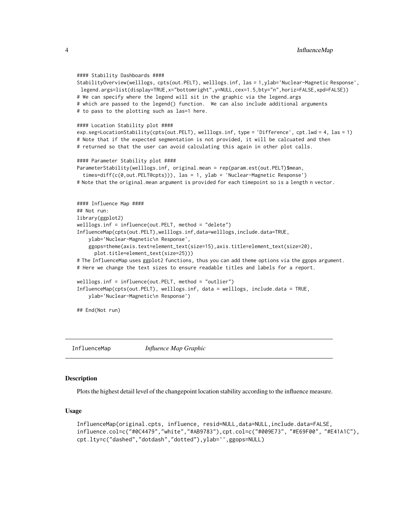```
#### Stability Dashboards ####
StabilityOverview(welllogs, cpts(out.PELT), welllogs.inf, las = 1,ylab='Nuclear-Magnetic Response',
 legend.args=list(display=TRUE,x="bottomright",y=NULL,cex=1.5,bty="n",horiz=FALSE,xpd=FALSE))
# We can specify where the legend will sit in the graphic via the legend.args
# which are passed to the legend() function. We can also include additional arguments
# to pass to the plotting such as las=1 here.
#### Location Stability plot ####
exp.seg=LocationStability(cpts(out.PELT), welllogs.inf, type = 'Difference', cpt.lwd = 4, las = 1)
# Note that if the expected segmentation is not provided, it will be calcuated and then
# returned so that the user can avoid calculating this again in other plot calls.
#### Parameter Stability plot ####
ParameterStability(welllogs.inf, original.mean = rep(param.est(out.PELT)$mean,
  times=diff(c(0,out.PELT@cpts))), las = 1, ylab = 'Nuclear-Magnetic Response')
# Note that the original.mean argument is provided for each timepoint so is a length n vector.
#### Influence Map ####
## Not run:
library(ggplot2)
welllogs.inf = influence(out.PELT, method = "delete")
InfluenceMap(cpts(out.PELT),welllogs.inf,data=welllogs,include.data=TRUE,
    ylab='Nuclear-Magnetic\n Response',
    ggops=theme(axis.text=element_text(size=15),axis.title=element_text(size=20),
      plot.title=element_text(size=25)))
# The InfluenceMap uses ggplot2 functions, thus you can add theme options via the ggops argument.
# Here we change the text sizes to ensure readable titles and labels for a report.
welllogs.inf = influence(out.PELT, method = "outlier")
InfluenceMap(cpts(out.PELT), welllogs.inf, data = welllogs, include.data = TRUE,
   ylab='Nuclear-Magnetic\n Response')
## End(Not run)
```
<span id="page-3-1"></span>InfluenceMap *Influence Map Graphic*

#### **Description**

Plots the highest detail level of the changepoint location stability according to the influence measure.

#### Usage

```
InfluenceMap(original.cpts, influence, resid=NULL,data=NULL,include.data=FALSE,
influence.col=c("#0C4479","white","#AB9783"),cpt.col=c("#009E73", "#E69F00", "#E41A1C"),
cpt.lty=c("dashed","dotdash","dotted"),ylab='',ggops=NULL)
```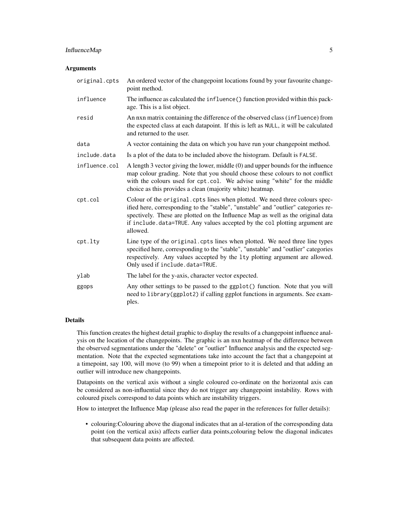#### InfluenceMap 5

#### **Arguments**

| original.cpts | An ordered vector of the changepoint locations found by your favourite change-<br>point method.                                                                                                                                                                                                                                                  |
|---------------|--------------------------------------------------------------------------------------------------------------------------------------------------------------------------------------------------------------------------------------------------------------------------------------------------------------------------------------------------|
| influence     | The influence as calculated the influence () function provided within this pack-<br>age. This is a list object.                                                                                                                                                                                                                                  |
| resid         | An nxn matrix containing the difference of the observed class (influence) from<br>the expected class at each datapoint. If this is left as NULL, it will be calculated<br>and returned to the user.                                                                                                                                              |
| data          | A vector containing the data on which you have run your changepoint method.                                                                                                                                                                                                                                                                      |
| include.data  | Is a plot of the data to be included above the histogram. Default is FALSE.                                                                                                                                                                                                                                                                      |
| influence.col | A length 3 vector giving the lower, middle (0) and upper bounds for the influence<br>map colour grading. Note that you should choose these colours to not conflict<br>with the colours used for cpt.col. We advise using "white" for the middle<br>choice as this provides a clean (majority white) heatmap.                                     |
| cpt.col       | Colour of the original. cpts lines when plotted. We need three colours spec-<br>ified here, corresponding to the "stable", "unstable" and "outlier" categories re-<br>spectively. These are plotted on the Influence Map as well as the original data<br>if include .data=TRUE. Any values accepted by the col plotting argument are<br>allowed. |
| cpt.lty       | Line type of the original.cpts lines when plotted. We need three line types<br>specified here, corresponding to the "stable", "unstable" and "outlier" categories<br>respectively. Any values accepted by the 1ty plotting argument are allowed.<br>Only used if include.data=TRUE.                                                              |
| ylab          | The label for the y-axis, character vector expected.                                                                                                                                                                                                                                                                                             |
| ggops         | Any other settings to be passed to the ggplot() function. Note that you will<br>need to library (ggplot2) if calling ggplot functions in arguments. See exam-<br>ples.                                                                                                                                                                           |

#### Details

This function creates the highest detail graphic to display the results of a changepoint influence analysis on the location of the changepoints. The graphic is an nxn heatmap of the difference between the observed segmentations under the "delete" or "outlier" Influence analysis and the expected segmentation. Note that the expected segmentations take into account the fact that a changepoint at a timepoint, say 100, will move (to 99) when a timepoint prior to it is deleted and that adding an outlier will introduce new changepoints.

Datapoints on the vertical axis without a single coloured co-ordinate on the horizontal axis can be considered as non-influential since they do not trigger any changepoint instability. Rows with coloured pixels correspond to data points which are instability triggers.

How to interpret the Influence Map (please also read the paper in the references for fuller details):

• colouring:Colouring above the diagonal indicates that an al-teration of the corresponding data point (on the vertical axis) affects earlier data points,colouring below the diagonal indicates that subsequent data points are affected.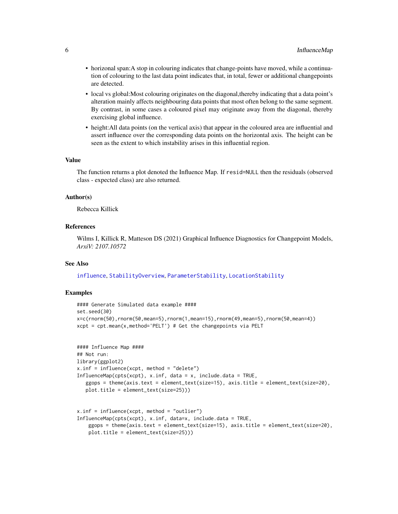- <span id="page-5-0"></span>• horizonal span:A stop in colouring indicates that change-points have moved, while a continuation of colouring to the last data point indicates that, in total, fewer or additional changepoints are detected.
- local vs global:Most colouring originates on the diagonal,thereby indicating that a data point's alteration mainly affects neighbouring data points that most often belong to the same segment. By contrast, in some cases a coloured pixel may originate away from the diagonal, thereby exercising global influence.
- height:All data points (on the vertical axis) that appear in the coloured area are influential and assert influence over the corresponding data points on the horizontal axis. The height can be seen as the extent to which instability arises in this influential region.

#### Value

The function returns a plot denoted the Influence Map. If resid=NULL then the residuals (observed class - expected class) are also returned.

#### Author(s)

Rebecca Killick

#### References

Wilms I, Killick R, Matteson DS (2021) Graphical Influence Diagnostics for Changepoint Models, *ArxiV: 2107.10572*

#### See Also

[influence](#page-0-0), [StabilityOverview](#page-9-1), [ParameterStability](#page-8-1), [LocationStability](#page-6-1)

#### Examples

```
#### Generate Simulated data example ####
set.seed(30)
x=c(rnorm(50),rnorm(50,mean=5),rnorm(1,mean=15),rnorm(49,mean=5),rnorm(50,mean=4))
xcpt = cpt.mean(x,method='PELT') # Get the changepoints via PELT
```

```
#### Influence Map ####
## Not run:
library(ggplot2)
x.inf = influence(xcpt, method = "delete")
InfluenceMap(cpts(xcpt), x.inf, data = x, include.data = TRUE,
   ggops = theme(axis.text = element_text(size=15), axis.title = element_text(size=20),
   plot.title = element_text(size=25)))
```

```
x.inf = influence(xcpt, method = "outlier")
InfluenceMap(cpts(xcpt), x.inf, data=x, include.data = TRUE,
   ggops = theme(axis.text = element_text(size=15), axis.title = element_text(size=20),
   plot.title = element_text(size=25)))
```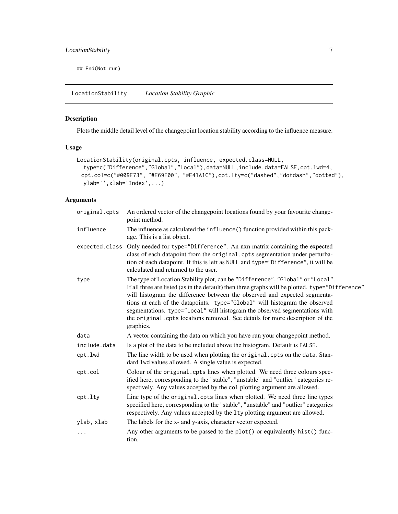<span id="page-6-0"></span>## End(Not run)

<span id="page-6-1"></span>LocationStability *Location Stability Graphic*

#### Description

Plots the middle detail level of the changepoint location stability according to the influence measure.

#### Usage

```
LocationStability(original.cpts, influence, expected.class=NULL,
  type=c("Difference","Global","Local"),data=NULL,include.data=FALSE,cpt.lwd=4,
 cpt.col=c("#009E73", "#E69F00", "#E41A1C"),cpt.lty=c("dashed","dotdash","dotted"),
 ylab='',xlab='Index',...)
```
#### Arguments

| original.cpts | An ordered vector of the changepoint locations found by your favourite change-<br>point method.                                                                                                                                                                                                                                                                                                                                                                                                                          |
|---------------|--------------------------------------------------------------------------------------------------------------------------------------------------------------------------------------------------------------------------------------------------------------------------------------------------------------------------------------------------------------------------------------------------------------------------------------------------------------------------------------------------------------------------|
| influence     | The influence as calculated the influence() function provided within this pack-<br>age. This is a list object.                                                                                                                                                                                                                                                                                                                                                                                                           |
|               | expected.class Only needed for type="Difference". An nxn matrix containing the expected<br>class of each datapoint from the original.cpts segmentation under perturba-<br>tion of each datapoint. If this is left as NULL and type="Difference", it will be<br>calculated and returned to the user.                                                                                                                                                                                                                      |
| type          | The type of Location Stability plot, can be "Difference", "Global" or "Local".<br>If all three are listed (as in the default) then three graphs will be plotted. type="Difference"<br>will histogram the difference between the observed and expected segmenta-<br>tions at each of the datapoints. type="Global" will histogram the observed<br>segmentations. type="Local" will histogram the observed segmentations with<br>the original.cpts locations removed. See details for more description of the<br>graphics. |
| data          | A vector containing the data on which you have run your changepoint method.                                                                                                                                                                                                                                                                                                                                                                                                                                              |
| include.data  | Is a plot of the data to be included above the histogram. Default is FALSE.                                                                                                                                                                                                                                                                                                                                                                                                                                              |
| cpt.lwd       | The line width to be used when plotting the original. cpts on the data. Stan-<br>dard 1wd values allowed. A single value is expected.                                                                                                                                                                                                                                                                                                                                                                                    |
| cpt.col       | Colour of the original. cpts lines when plotted. We need three colours spec-<br>ified here, corresponding to the "stable", "unstable" and "outlier" categories re-<br>spectively. Any values accepted by the col plotting argument are allowed.                                                                                                                                                                                                                                                                          |
| cpt.          | Line type of the original.cpts lines when plotted. We need three line types<br>specified here, corresponding to the "stable", "unstable" and "outlier" categories<br>respectively. Any values accepted by the 1ty plotting argument are allowed.                                                                                                                                                                                                                                                                         |
| ylab, xlab    | The labels for the x- and y-axis, character vector expected.                                                                                                                                                                                                                                                                                                                                                                                                                                                             |
| $\cdots$      | Any other arguments to be passed to the plot() or equivalently hist() func-<br>tion.                                                                                                                                                                                                                                                                                                                                                                                                                                     |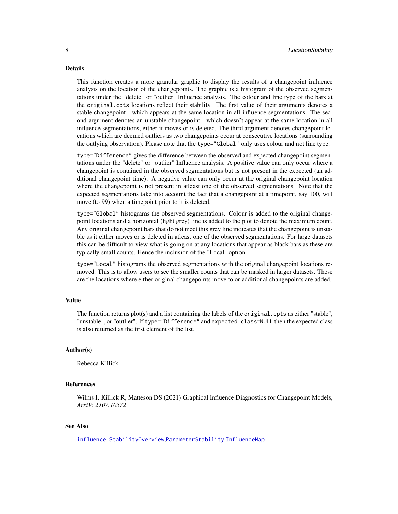#### <span id="page-7-0"></span>Details

This function creates a more granular graphic to display the results of a changepoint influence analysis on the location of the changepoints. The graphic is a histogram of the observed segmentations under the "delete" or "outlier" Influence analysis. The colour and line type of the bars at the original.cpts locations reflect their stability. The first value of their arguments denotes a stable changepoint - which appears at the same location in all influence segmentations. The second argument denotes an unstable changepoint - which doesn't appear at the same location in all influence segmentations, either it moves or is deleted. The third argument denotes changepoint locations which are deemed outliers as two changepoints occur at consecutive locations (surrounding the outlying observation). Please note that the type="Global" only uses colour and not line type.

type="Difference" gives the difference between the observed and expected changepoint segmentations under the "delete" or "outlier" Influence analysis. A positive value can only occur where a changepoint is contained in the observed segmentations but is not present in the expected (an additional changepoint time). A negative value can only occur at the original changepoint location where the changepoint is not present in atleast one of the observed segmentations. Note that the expected segmentations take into account the fact that a changepoint at a timepoint, say 100, will move (to 99) when a timepoint prior to it is deleted.

type="Global" histograms the observed segmentations. Colour is added to the original changepoint locations and a horizontal (light grey) line is added to the plot to denote the maximum count. Any original changepoint bars that do not meet this grey line indicates that the changepoint is unstable as it either moves or is deleted in atleast one of the observed segmentations. For large datasets this can be difficult to view what is going on at any locations that appear as black bars as these are typically small counts. Hence the inclusion of the "Local" option.

type="Local" histograms the observed segmentations with the original changepoint locations removed. This is to allow users to see the smaller counts that can be masked in larger datasets. These are the locations where either original changepoints move to or additional changepoints are added.

#### Value

The function returns plot(s) and a list containing the labels of the original.cpts as either "stable", "unstable", or "outlier". If type="Difference" and expected.class=NULL then the expected class is also returned as the first element of the list.

#### Author(s)

Rebecca Killick

#### References

Wilms I, Killick R, Matteson DS (2021) Graphical Influence Diagnostics for Changepoint Models, *ArxiV: 2107.10572*

#### See Also

[influence](#page-0-0), [StabilityOverview](#page-9-1),[ParameterStability](#page-8-1),[InfluenceMap](#page-3-1)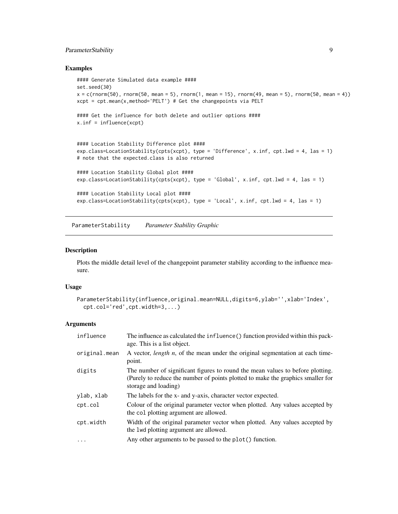#### <span id="page-8-0"></span>ParameterStability 9

#### Examples

```
#### Generate Simulated data example ####
set.seed(30)
x = c(rnorm(50), rnorm(50, mean = 5), rnorm(1, mean = 15), rnorm(49, mean = 5), rnorm(50, mean = 4))xcpt = cpt.mean(x,method='PELT') # Get the changepoints via PELT
#### Get the influence for both delete and outlier options ####
x.inf = influence(xcpt)#### Location Stability Difference plot ####
exp.class=LocationStability(cpts(xcpt), type = 'Difference', x.inf, cpt.lwd = 4, las = 1)
# note that the expected.class is also returned
#### Location Stability Global plot ####
exp.class=LocationStability(cpts(xcpt), type = 'Global', x.inf, cpt.lwd = 4, las = 1)
#### Location Stability Local plot ####
exp.class=LocationStability(cpts(xcpt), type = 'Local', x.inf, cpt.lwd = 4, las = 1)
```
<span id="page-8-1"></span>ParameterStability *Parameter Stability Graphic*

#### Description

Plots the middle detail level of the changepoint parameter stability according to the influence measure.

#### Usage

```
ParameterStability(influence,original.mean=NULL,digits=6,ylab='',xlab='Index',
 cpt.col='red',cpt.width=3,...)
```
#### Arguments

| influence     | The influence as calculated the influence () function provided within this pack-<br>age. This is a list object.                                                                           |
|---------------|-------------------------------------------------------------------------------------------------------------------------------------------------------------------------------------------|
| original.mean | A vector, <i>length n</i> , of the mean under the original segmentation at each time-<br>point.                                                                                           |
| digits        | The number of significant figures to round the mean values to before plotting.<br>(Purely to reduce the number of points plotted to make the graphics smaller for<br>storage and loading) |
| ylab, xlab    | The labels for the x- and y-axis, character vector expected.                                                                                                                              |
| cpt.col       | Colour of the original parameter vector when plotted. Any values accepted by<br>the col plotting argument are allowed.                                                                    |
| cpt.width     | Width of the original parameter vector when plotted. Any values accepted by<br>the lwd plotting argument are allowed.                                                                     |
| $\ddotsc$     | Any other arguments to be passed to the plot() function.                                                                                                                                  |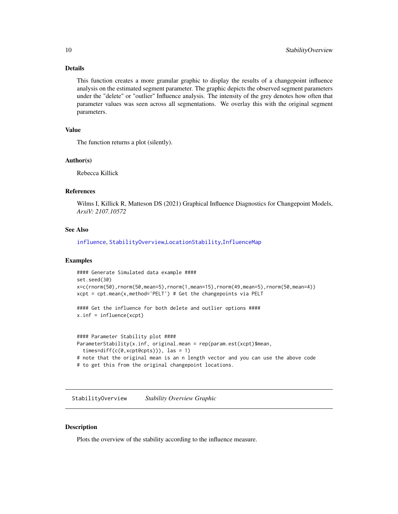#### Details

This function creates a more granular graphic to display the results of a changepoint influence analysis on the estimated segment parameter. The graphic depicts the observed segment parameters under the "delete" or "outlier" Influence analysis. The intensity of the grey denotes how often that parameter values was seen across all segmentations. We overlay this with the original segment parameters.

#### Value

The function returns a plot (silently).

#### Author(s)

Rebecca Killick

#### References

Wilms I, Killick R, Matteson DS (2021) Graphical Influence Diagnostics for Changepoint Models, *ArxiV: 2107.10572*

#### See Also

[influence](#page-0-0), [StabilityOverview](#page-9-1),[LocationStability](#page-6-1),[InfluenceMap](#page-3-1)

#### Examples

```
#### Generate Simulated data example ####
set.seed(30)
x=c(rnorm(50),rnorm(50,mean=5),rnorm(1,mean=15),rnorm(49,mean=5),rnorm(50,mean=4))
xcpt = cpt.mean(x,method='PELT') # Get the changepoints via PELT
```

```
#### Get the influence for both delete and outlier options ####
x.inf = influence(xcpt)
```

```
#### Parameter Stability plot ####
ParameterStability(x.inf, original.mean = rep(param.est(xcpt)$mean,
  times=diff(c(0,xcpt@cpts))), las = 1)
# note that the original mean is an n length vector and you can use the above code
# to get this from the original changepoint locations.
```
<span id="page-9-1"></span>StabilityOverview *Stability Overview Graphic*

#### Description

Plots the overview of the stability according to the influence measure.

<span id="page-9-0"></span>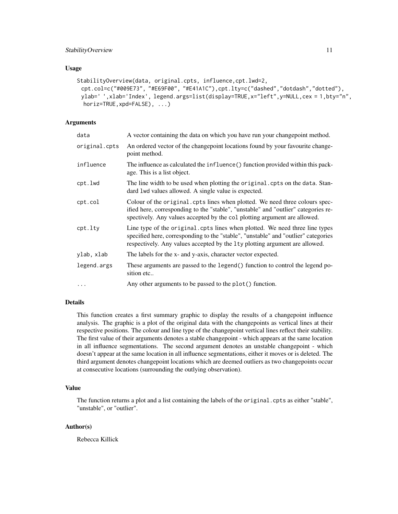#### StabilityOverview 11

#### Usage

```
StabilityOverview(data, original.cpts, influence,cpt.lwd=2,
 cpt.col=c("#009E73", "#E69F00", "#E41A1C"),cpt.lty=c("dashed","dotdash","dotted"),
 ylab=' ',xlab='Index', legend.args=list(display=TRUE,x="left",y=NULL,cex = 1,bty="n",
 horiz=TRUE,xpd=FALSE), ...)
```
#### Arguments

| data          | A vector containing the data on which you have run your changepoint method.                                                                                                                                                                      |
|---------------|--------------------------------------------------------------------------------------------------------------------------------------------------------------------------------------------------------------------------------------------------|
| original.cpts | An ordered vector of the changepoint locations found by your favourite change-<br>point method.                                                                                                                                                  |
| influence     | The influence as calculated the influence () function provided within this pack-<br>age. This is a list object.                                                                                                                                  |
| cpt.lwd       | The line width to be used when plotting the original. cpts on the data. Stan-<br>dard 1wd values allowed. A single value is expected.                                                                                                            |
| cpt.col       | Colour of the original, cpts lines when plotted. We need three colours spec-<br>ified here, corresponding to the "stable", "unstable" and "outlier" categories re-<br>spectively. Any values accepted by the col plotting argument are allowed.  |
| cpt.lty       | Line type of the original cpts lines when plotted. We need three line types<br>specified here, corresponding to the "stable", "unstable" and "outlier" categories<br>respectively. Any values accepted by the 1ty plotting argument are allowed. |
| ylab, xlab    | The labels for the x- and y-axis, character vector expected.                                                                                                                                                                                     |
| legend.args   | These arguments are passed to the legend() function to control the legend po-<br>sition etc                                                                                                                                                      |
| $\cdots$      | Any other arguments to be passed to the plot() function.                                                                                                                                                                                         |
|               |                                                                                                                                                                                                                                                  |

#### Details

This function creates a first summary graphic to display the results of a changepoint influence analysis. The graphic is a plot of the original data with the changepoints as vertical lines at their respective positions. The colour and line type of the changepoint vertical lines reflect their stability. The first value of their arguments denotes a stable changepoint - which appears at the same location in all influence segmentations. The second argument denotes an unstable changepoint - which doesn't appear at the same location in all influence segmentations, either it moves or is deleted. The third argument denotes changepoint locations which are deemed outliers as two changepoints occur at consecutive locations (surrounding the outlying observation).

#### Value

The function returns a plot and a list containing the labels of the original.cpts as either "stable", "unstable", or "outlier".

#### Author(s)

Rebecca Killick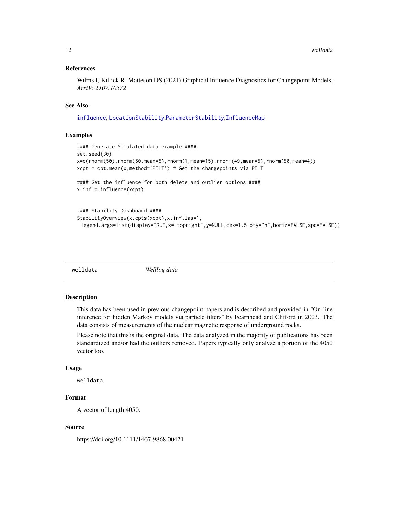#### <span id="page-11-0"></span>References

Wilms I, Killick R, Matteson DS (2021) Graphical Influence Diagnostics for Changepoint Models, *ArxiV: 2107.10572*

#### See Also

[influence](#page-0-0), [LocationStability](#page-6-1),[ParameterStability](#page-8-1),[InfluenceMap](#page-3-1)

#### Examples

```
#### Generate Simulated data example ####
set.seed(30)
x=c(rnorm(50),rnorm(50,mean=5),rnorm(1,mean=15),rnorm(49,mean=5),rnorm(50,mean=4))
xcpt = cpt.mean(x,method='PELT') # Get the changepoints via PELT
#### Get the influence for both delete and outlier options ####
x.inf = influence(xcpt)
#### Stability Dashboard ####
StabilityOverview(x,cpts(xcpt),x.inf,las=1,
 legend.args=list(display=TRUE,x="topright",y=NULL,cex=1.5,bty="n",horiz=FALSE,xpd=FALSE))
```
welldata *Welllog data*

#### Description

This data has been used in previous changepoint papers and is described and provided in "On-line inference for hidden Markov models via particle filters" by Fearnhead and Clifford in 2003. The data consists of measurements of the nuclear magnetic response of underground rocks.

Please note that this is the original data. The data analyzed in the majority of publications has been standardized and/or had the outliers removed. Papers typically only analyze a portion of the 4050 vector too.

#### Usage

welldata

#### Format

A vector of length 4050.

#### Source

https://doi.org/10.1111/1467-9868.00421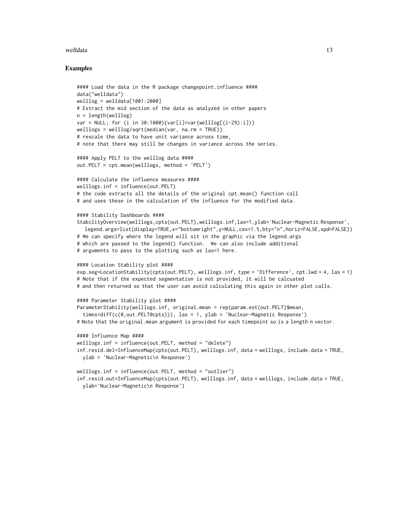#### welldata and the state of the state of the state of the state of the state of the state of the state of the state of the state of the state of the state of the state of the state of the state of the state of the state of t

#### Examples

```
#### Load the data in the R package changepoint.influence ####
data("welldata")
welllog = welldata[1001:2000]# Extract the mid section of the data as analyzed in other papers
n = length(welllog)
var = NULL; for (i in 30:1000){var[i]=var(welllog[(i-29):i])}
welllogs = welllog/sqrt(median(var, na.rm = TRUE))
# rescale the data to have unit variance across time,
# note that there may still be changes in variance across the series.
#### Apply PELT to the welllog data ####
out.PELT = cpt.mean(welllogs, method = 'PELT')
#### Calculate the influence measures ####
welllogs.inf = influence(out.PELT)
# the code extracts all the details of the original cpt.mean() function call
# and uses these in the calculation of the influence for the modified data.
#### Stability Dashboards ####
StabilityOverview(welllogs,cpts(out.PELT),welllogs.inf,las=1,ylab='Nuclear-Magnetic Response',
  legend.args=list(display=TRUE,x="bottomright",y=NULL,cex=1.5,bty="n",horiz=FALSE,xpd=FALSE))
# We can specify where the legend will sit in the graphic via the legend.args
# which are passed to the legend() function. We can also include additional
# arguments to pass to the plotting such as las=1 here.
#### Location Stability plot ####
exp.seg=LocationStability(cpts(out.PELT), welllogs.inf, type = 'Difference', cpt.lwd = 4, las = 1)
# Note that if the expected segmentation is not provided, it will be calcuated
# and then returned so that the user can avoid calculating this again in other plot calls.
#### Parameter Stability plot ####
ParameterStability(welllogs.inf, original.mean = rep(param.est(out.PELT)$mean,
  times=diff(c(0,out.PELT@cpts))), las = 1, ylab = 'Nuclear-Magnetic Response')
# Note that the original.mean argument is provided for each timepoint so is a length n vector.
#### Influence Map ####
welllogs.inf = influence(out.PELT, method = "delete")
inf.resid.del=InfluenceMap(cpts(out.PELT), welllogs.inf, data = welllogs, include.data = TRUE,
  ylab = 'Nuclear-Magnetic\n Response')
welllogs.inf = influence(out.PELT, method = "outlier")
inf.resid.out=InfluenceMap(cpts(out.PELT), welllogs.inf, data = welllogs, include.data = TRUE,
  ylab='Nuclear-Magnetic\n Response')
```